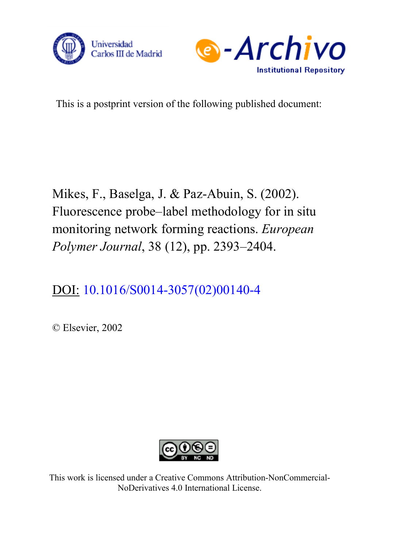



This is a postprint version of the following published document:

Mikes, F., Baselga, J. & Paz-Abuin, S. (2002). Fluorescence probe–label methodology for in situ monitoring network forming reactions. *European Polymer Journal*, 38 (12), pp. 2393–2404.

DOI: [10.1016/S0014-3057\(02\)00140-4](https://dx.doi.org/10.1016/S0014-3057(02)00140-4)

© Elsevier, 2002



This work is licensed under a Creative Commons Attribution-NonCommercial-NoDerivatives 4.0 International License.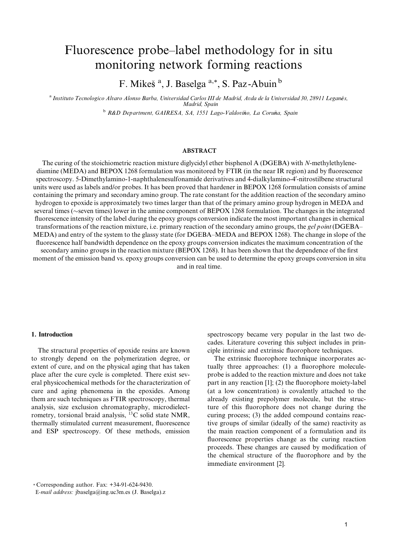# Fluorescence probe–label methodology for in situ monitoring network forming reactions

F. Mikeš<sup>a</sup>, J. Baselga<sup>a,\*</sup>, S. Paz-Abuin<sup>b</sup>

<sup>a</sup> Instituto Tecnologico Alvaro Alonso Barba, Universidad Carlos III de Madrid, Avda de la Universidad 30, 28911 Leganés, Madrid, Spain

<sup>b</sup> R&D Department, GAIRESA, SA, 1551 Lago-Valdoviño, La Coruña, Spain

# **ABSTRACT**

The curing of the stoichiometric reaction mixture diglycidyl ether bisphenol A (DGEBA) with N-methylethylenediamine (MEDA) and BEPOX 1268 formulation was monitored by FTIR (in the near IR region) and by fluorescence spectroscopy. 5-Dimethylamino-1-naphthalenesulfonamide derivatives and 4-dialkylamino-4'-nitrostilbene structural units were used as labels and/or probes. It has been proved that hardener in BEPOX 1268 formulation consists of amine containing the primary and secondary amino group. The rate constant for the addition reaction of the secondary amino hydrogen to epoxide is approximately two times larger than that of the primary amino group hydrogen in MEDA and several times ( $\sim$ seven times) lower in the amine component of BEPOX 1268 formulation. The changes in the integrated fluorescence intensity of the label during the epoxy groups conversion indicate the most important changes in chemical transformations of the reaction mixture, i.e. primary reaction of the secondary amino groups, the gel point(DGEBA– MEDA) and entry of the system to the glassy state (for DGEBA–MEDA and BEPOX 1268). The change in slope of the fluorescence half bandwidth dependence on the epoxy groups conversion indicates the maximum concentration of the secondary amino groups in the reaction mixture (BEPOX 1268). It has been shown that the dependence of the first moment of the emission band vs. epoxy groups conversion can be used to determine the epoxy groups conversion in situ and in real time.

## 1. Introduction

The structural properties of epoxide resins are known to strongly depend on the polymerization degree, or extent of cure, and on the physical aging that has taken place after the cure cycle is completed. There exist several physicochemical methods for the characterization of cure and aging phenomena in the epoxides. Among them are such techniques as FTIR spectroscopy, thermal analysis, size exclusion chromatography, microdielectrometry, torsional braid analysis, 13C solid state NMR, thermally stimulated current measurement, fluorescence and ESP spectroscopy. Of these methods, emission

spectroscopy became very popular in the last two decades. Literature covering this subject includes in principle intrinsic and extrinsic fluorophore techniques.

The extrinsic fluorophore technique incorporates actually three approaches: (1) a fluorophore moleculeprobe is added to the reaction mixture and does not take part in any reaction [1]; (2) the fluorophore moiety-label (at a low concentration) is covalently attached to the already existing prepolymer molecule, but the structure of this fluorophore does not change during the curing process; (3) the added compound contains reactive groups of similar (ideally of the same) reactivity as the main reaction component of a formulation and its fluorescence properties change as the curing reaction proceeds. These changes are caused by modification of the chemical structure of the fluorophore and by the immediate environment [2].

<sup>\*</sup> Corresponding author. Fax: +34-91-624-9430.

E-mail address: jbaselga@ing.uc3m.es (J. Baselga).z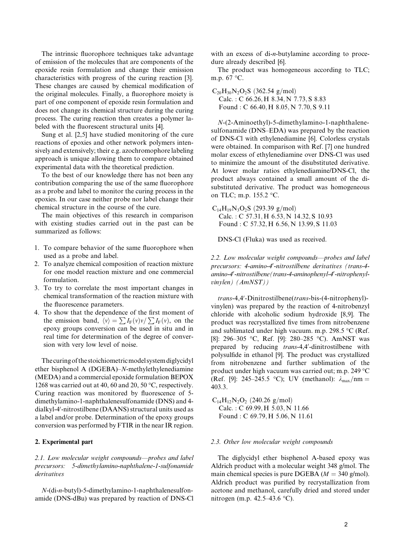The intrinsic fluorophore techniques take advantage of emission of the molecules that are components of the epoxide resin formulation and change their emission characteristics with progress of the curing reaction [3]. These changes are caused by chemical modification of the original molecules. Finally, a fluorophore moiety is part of one component of epoxide resin formulation and does not change its chemical structure during the curing process. The curing reaction then creates a polymer labeled with the fluorescent structural units [4].

Sung et al. [2,5] have studied monitoring of the cure reactions of epoxies and other network polymers intensively and extensively; their e.g. azochromophore labeling approach is unique allowing them to compare obtained experimental data with the theoretical prediction.

To the best of our knowledge there has not been any contribution comparing the use of the same fluorophore as a probe and label to monitor the curing process in the epoxies. In our case neither probe nor label change their chemical structure in the course of the cure.

The main objectives of this research in comparison with existing studies carried out in the past can be summarized as follows:

- 1. To compare behavior of the same fluorophore when used as a probe and label.
- 2. To analyze chemical composition of reaction mixture for one model reaction mixture and one commercial formulation.
- 3. To try to correlate the most important changes in chemical transformation of the reaction mixture with the fluorescence parameters.
- 4. To show that the dependence of the first moment of the emission band,  $\langle v \rangle = \sum F_F(v) v / \sum F_F(v)$ , on the epoxy groups conversion can be used in situ and in real time for determination of the degree of conversion with very low level of noise.

Thecuring of the stoichiometricmodel systemdiglycidyl ether bisphenol A (DGEBA)–N-methylethylenediamine (MEDA) and a commercial epoxide formulation BEPOX 1268 was carried out at 40, 60 and 20, 50  $^{\circ}$ C, respectively. Curing reaction was monitored by fluorescence of 5 dimethylamino-1-naphthalenesulfonamide (DNS) and 4 dialkyl-4'-nitrostilbene (DAANS) structural units used as a label and/or probe. Determination of the epoxy groups conversion was performed by FTIR in the near IR region.

## 2. Experimental part

2.1. Low molecular weight compounds-probes and label precursors: 5-dimethylamino-naphthalene-1-sulfonamide derivatives

N-(di-n-butyl)-5-dimethylamino-1-naphthalenesulfonamide (DNS-dBu) was prepared by reaction of DNS-Cl with an excess of di-n-butylamine according to procedure already described [6].

The product was homogeneous according to TLC; m.p. 67 °C.

 $C_{20}H_{30}N_2O_2S$  (362.54 g/mol) Calc.: C 66.26, H 8.34, N 7.73, S 8.83 Found : C 66.40, H 8.05, N 7.70, S 9.11

N-(2-Aminoethyl)-5-dimethylamino-1-naphthalenesulfonamide (DNS–EDA) was prepared by the reaction of DNS-Cl with ethylenediamine [6]. Colorless crystals were obtained. In comparison with Ref. [7] one hundred molar excess of ethylenediamine over DNS-Cl was used to minimize the amount of the disubstituted derivative. At lower molar ratios ethylenediamine/DNS-Cl, the product always contained a small amount of the disubstituted derivative. The product was homogeneous on TLC; m.p. 155.2 °C.

 $C_{14}H_{19}N_3O_2S$  (293.39 g/mol) Calc.: C 57.31, H 6.53, N 14.32, S 10.93 Found : C 57.32, H 6.56, N 13.99, S 11.03

DNS-Cl (Fluka) was used as received.

2.2. Low molecular weight compounds—probes and label precursors: 4-amino-4'-nitrostilbene derivatives (trans-4amino-4'-nitrostilbene (trans-4-aminophenyl-4'-nitrophenylvinylen) (AmNST))

trans-4,4'-Dinitrostilbene(trans-bis-(4-nitrophenyl)vinylen) was prepared by the reaction of 4-nitrobenzyl chloride with alcoholic sodium hydroxide [8,9]. The product was recrystallized five times from nitrobenzene and sublimated under high vacuum. m.p. 298.5  $\rm{°C}$  (Ref. [8]: 296–305 °C, Ref. [9]: 280–285 °C). AmNST was prepared by reducing trans-4,4'-dinitrostilbene with polysulfide in ethanol [9]. The product was crystallized from nitrobenzene and further sublimation of the product under high vacuum was carried out; m.p. 249 °C (Ref. [9]: 245–245.5 °C); UV (methanol):  $\lambda_{\text{max}}/ \text{nm} =$ 403:3.

 $C_{14}H_{12}N_2O_2$  (240.26 g/mol) Calc.: C 69.99, H 5.03, N 11.66 Found : C 69.79, H 5.06, N 11.61

#### 2.3. Other low molecular weight compounds

The diglycidyl ether bisphenol A-based epoxy was Aldrich product with a molecular weight 348 g/mol. The main chemical species is pure DGEBA ( $M = 340$  g/mol). Aldrich product was purified by recrystallization from acetone and methanol, carefully dried and stored under nitrogen (m.p. 42.5–43.6 °C).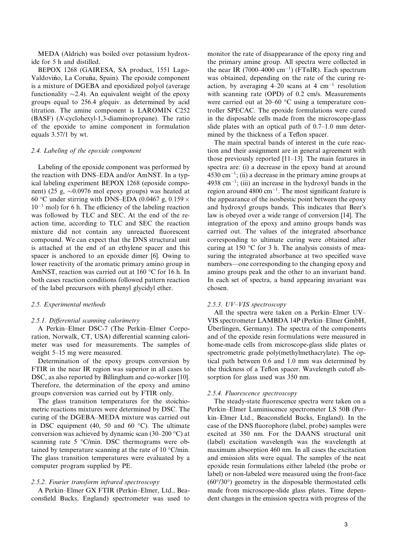MEDA (Aldrich) was boiled over potassium hydroxide for 5 h and distilled.

BEPOX 1268 (GAIRESA, SA product, 1551 Lago-Valdoviño, La Coruña, Spain). The epoxide component is a mixture of DGEBA and epoxidized polyol (average functionality  $\sim$ 2.4). An equivalent weight of the epoxy groups equal to 256.4 g/equiv. as determined by acid titration. The amine component is LAROMIN C252 (BASF) (N-cyclohexyl-1,3-diaminopropane). The ratio of the epoxide to amine component in formulation equals 3.57/1 by wt.

#### 2.4. Labeling of the epoxide component

Labeling of the epoxide component was performed by the reaction with DNS–EDA and/or AmNST. In a typical labeling experiment BEPOX 1268 (epoxide component) (25 g,  $\sim$ 0.0976 mol epoxy groups) was heated at 60 °C under stirring with DNS–EDA (0.0467 g, 0.159  $\times$  $10^{-3}$  mol) for 6 h. The efficiency of the labeling reaction was followed by TLC and SEC. At the end of the reaction time, according to TLC and SEC the reaction mixture did not contain any unreacted fluorescent compound. We can expect that the DNS structural unit is attached at the end of an ethylene spacer and this spacer is anchored to an epoxide dimer [6]. Owing to lower reactivity of the aromatic primary amino group in AmNST, reaction was carried out at  $160^{\circ}$ C for 16 h. In both cases reaction conditions followed pattern reaction of the label precursors with phenyl glycidyl ether.

## 2.5. Experimental methods

## 2.5.1. Differential scanning calorimetry

A Perkin–Elmer DSC-7 (The Perkin–Elmer Corporation, Norwalk, CT, USA) differential scanning calorimeter was used for measurements. The samples of weight 5–15 mg were measured.

Determination of the epoxy groups conversion by FTIR in the near IR region was superior in all cases to DSC, as also reported by Billingham and co-worker [10]. Therefore, the determination of the epoxy and amino groups conversion was carried out by FTIR only.

The glass transition temperatures for the stoichiometric reactions mixtures were determined by DSC. The curing of the DGEBA–MEDA mixture was carried out in DSC equipment (40, 50 and 60  $^{\circ}$ C). The ultimate conversion was achieved by dynamic scan (30–200 °C) at scanning rate 5  $°C/min$ . DSC thermograms were obtained by temperature scanning at the rate of  $10^{\circ}$ C/min. The glass transition temperatures were evaluated by a computer program supplied by PE.

#### 2.5.2. Fourier transform infrared spectroscopy

A Perkin–Elmer GX FTIR (Perkin–Elmer, Ltd., Beaconsfield Bucks, England) spectrometer was used to monitor the rate of disappearance of the epoxy ring and the primary amine group. All spectra were collected in the near IR (7000–4000  $cm^{-1}$ ) (FTnIR). Each spectrum was obtained, depending on the rate of the curing reaction, by averaging  $4-20$  scans at  $4 \text{ cm}^{-1}$  resolution with scanning rate (OPD) of 0.2 cm/s. Measurements were carried out at  $20-60$  °C using a temperature controller SPECAC. The epoxide formulations were cured in the disposable cells made from the microscope-glass slide plates with an optical path of 0.7–1.0 mm determined by the thickness of a Teflon spacer.

The main spectral bands of interest in the cure reaction and their assignment are in general agreement with those previously reported [11–13]. The main features in spectra are: (i) a decrease in the epoxy band at around  $4530 \text{ cm}^{-1}$ ; (ii) a decrease in the primary amine groups at  $4938 \text{ cm}^{-1}$ ; (iii) an increase in the hydroxyl bands in the region around  $4800 \text{ cm}^{-1}$ . The most significant feature is the appearance of the isosbestic point between the epoxy and hydroxyl groups bands. This indicates that Beer's law is obeyed over a wide range of conversion [14]. The integration of the epoxy and amino groups bands was carried out. The values of the integrated absorbance corresponding to ultimate curing were obtained after curing at 150  $\degree$ C for 3 h. The analysis consists of measuring the integrated absorbance at two specified wave numbers––one corresponding to the changing epoxy and amino groups peak and the other to an invariant band. In each set of spectra, a band appearing invariant was chosen.

## 2.5.3. UV–VIS spectroscopy

All the spectra were taken on a Perkin–Elmer UV– VIS spectrometer LAMBDA 14P (Perkin–Elmer GmbH, Uberlingen, Germany). The spectra of the components } and of the epoxide resin formulations were measured in home-made cells from microscope-glass slide plates or spectrometric grade poly(methylmethacrylate). The optical path between 0.6 and 1.0 mm was determined by the thickness of a Teflon spacer. Wavelength cutoff absorption for glass used was 350 nm.

## 2.5.4. Fluorescence spectroscopy

The steady-state fluorescence spectra were taken on a Perkin–Elmer Luminiscence spectrometer LS 50B (Perkin–Elmer Ltd., Beaconsfield Bucks, England). In the case of the DNS fluorophore (label, probe) samples were excited at 350 nm. For the DAANS structural unit (label) excitation wavelength was the wavelength at maximum absorption 460 nm. In all cases the excitation and emission slits were equal. The samples of the neat epoxide resin formulations either labeled (the probe or label) or non-labeled were measured using the front-face  $(60^{\circ}/30^{\circ})$  geometry in the disposable thermostated cells made from microscope-slide glass plates. Time dependent changes in the emission spectra with progress of the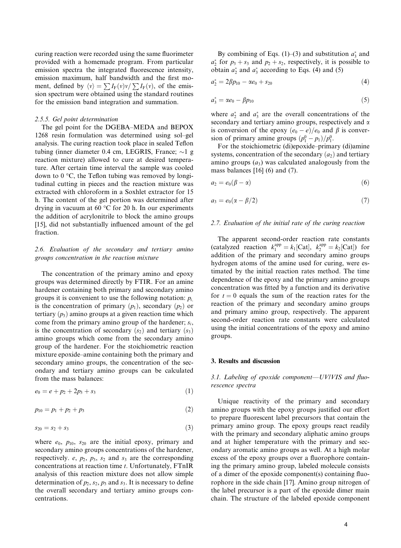curing reaction were recorded using the same fluorimeter provided with a homemade program. From particular emission spectra the integrated fluorescence intensity, emission maximum, half bandwidth and the first moment, defined by  $\langle v \rangle = \sum I_F(v) v / \sum I_F(v)$ , of the emission spectrum were obtained using the standard routines for the emission band integration and summation.

## 2.5.5. Gel point determination

The gel point for the DGEBA–MEDA and BEPOX 1268 resin formulation was determined using sol–gel analysis. The curing reaction took place in sealed Teflon tubing (inner diameter 0.4 cm, LEGRIS, France;  $\sim$ 1 g reaction mixture) allowed to cure at desired temperature. After certain time interval the sample was cooled down to  $0^{\circ}$ C, the Teflon tubing was removed by longitudinal cutting in pieces and the reaction mixture was extracted with chloroform in a Soxhlet extractor for 15 h. The content of the gel portion was determined after drying in vacuum at  $60^{\circ}$ C for 20 h. In our experiments the addition of acrylonitrile to block the amino groups [15], did not substantially influenced amount of the gel fraction.

# 2.6. Evaluation of the secondary and tertiary amino groups concentration in the reaction mixture

The concentration of the primary amino and epoxy groups was determined directly by FTIR. For an amine hardener containing both primary and secondary amino groups it is convenient to use the following notation:  $p_i$ is the concentration of primary  $(p_1)$ , secondary  $(p_2)$  or tertiary  $(p_3)$  amino groups at a given reaction time which come from the primary amino group of the hardener;  $s_i$ , is the concentration of secondary  $(s_2)$  and tertiary  $(s_3)$ amino groups which come from the secondary amino group of the hardener. For the stoichiometric reaction mixture epoxide–amine containing both the primary and secondary amino groups, the concentration of the secondary and tertiary amino groups can be calculated from the mass balances:

$$
e_0 = e + p_2 + 2p_3 + s_3 \tag{1}
$$

$$
p_{10} = p_1 + p_2 + p_3 \tag{2}
$$

$$
s_{20} = s_2 + s_3 \tag{3}
$$

where  $e_0$ ,  $p_{10}$ ,  $s_{20}$  are the initial epoxy, primary and secondary amino groups concentrations of the hardener, respectively.  $e$ ,  $p_2$ ,  $p_3$ ,  $s_2$  and  $s_3$  are the corresponding concentrations at reaction time t. Unfortunately, FTnIR analysis of this reaction mixture does not allow simple determination of  $p_2$ ,  $s_2$ ,  $p_3$  and  $s_3$ . It is necessary to define the overall secondary and tertiary amino groups concentrations.

By combining of Eqs. (1)–(3) and substitution  $a_3^*$  and  $a_2^*$  for  $p_3 + s_3$  and  $p_2 + s_2$ , respectively, it is possible to obtain  $a_2^*$  and  $a_3^*$  according to Eqs. (4) and (5)

$$
a_2^* = 2\beta p_{10} - \alpha e_0 + s_{20} \tag{4}
$$

$$
a_3^* = \alpha e_0 - \beta p_{10} \tag{5}
$$

where  $a_2^*$  and  $a_3^*$  are the overall concentrations of the secondary and tertiary amino groups, respectively and  $\alpha$ is conversion of the epoxy  $(e_0-e)/e_0$  and  $\beta$  is conversion of primary amine groups  $(p_1^0 - p_1)/p_1^0$ .

For the stoichiometric (di)epoxide–primary (di)amine systems, concentration of the secondary  $(a_2)$  and tertiary amino groups  $(a_3)$  was calculated analogously from the mass balances [16] (6) and (7).

$$
a_2 = e_0(\beta - \alpha) \tag{6}
$$

$$
a_3 = e_0(\alpha - \beta/2) \tag{7}
$$

#### 2.7. Evaluation of the initial rate of the curing reaction

The apparent second-order reaction rate constants (catalyzed reaction  $k_1^{\text{app}} = k_1[\text{Cat}], k_2^{\text{app}} = k_2[\text{Cat}])$  for addition of the primary and secondary amino groups hydrogen atoms of the amine used for curing, were estimated by the initial reaction rates method. The time dependence of the epoxy and the primary amino groups concentration was fitted by a function and its derivative for  $t = 0$  equals the sum of the reaction rates for the reaction of the primary and secondary amino groups and primary amino group, respectively. The apparent second-order reaction rate constants were calculated using the initial concentrations of the epoxy and amino groups.

#### 3. Results and discussion

# 3.1. Labeling of epoxide component— $UVIVIS$  and fluorescence spectra

Unique reactivity of the primary and secondary amino groups with the epoxy groups justified our effort to prepare fluorescent label precursors that contain the primary amino group. The epoxy groups react readily with the primary and secondary aliphatic amino groups and at higher temperature with the primary and secondary aromatic amino groups as well. At a high molar excess of the epoxy groups over a fluorophore containing the primary amino group, labeled molecule consists of a dimer of the epoxide component(s) containing fluorophore in the side chain [17]. Amino group nitrogen of the label precursor is a part of the epoxide dimer main chain. The structure of the labeled epoxide component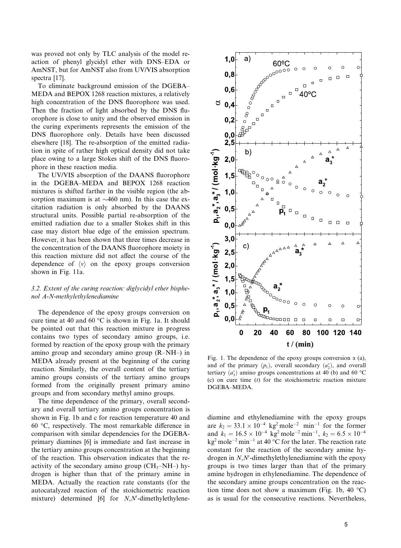was proved not only by TLC analysis of the model reaction of phenyl glycidyl ether with DNS–EDA or AmNST, but for AmNST also from UV/VIS absorption spectra [17].

To eliminate background emission of the DGEBA– MEDA and BEPOX 1268 reaction mixtures, a relatively high concentration of the DNS fluorophore was used. Then the fraction of light absorbed by the DNS fluorophore is close to unity and the observed emission in the curing experiments represents the emission of the DNS fluorophore only. Details have been discussed elsewhere [18]. The re-absorption of the emitted radiation in spite of rather high optical density did not take place owing to a large Stokes shift of the DNS fluorophore in these reaction media.

The UV/VIS absorption of the DAANS fluorophore in the DGEBA–MEDA and BEPOX 1268 reaction mixtures is shifted farther in the visible region (the absorption maximum is at  $\sim$ 460 nm). In this case the excitation radiation is only absorbed by the DAANS structural units. Possible partial re-absorption of the emitted radiation due to a smaller Stokes shift in this case may distort blue edge of the emission spectrum. However, it has been shown that three times decrease in the concentration of the DAANS fluorophore moiety in this reaction mixture did not affect the course of the dependence of  $\langle v \rangle$  on the epoxy groups conversion shown in Fig. 11a.

# 3.2. Extent of the curing reaction: diglycidyl ether bisphenol A-N-methylethylenediamine

The dependence of the epoxy groups conversion on cure time at 40 and 60  $\degree$ C is shown in Fig. 1a. It should be pointed out that this reaction mixture in progress contains two types of secondary amino groups, i.e. formed by reaction of the epoxy group with the primary amino group and secondary amino group (R–NH–) in MEDA already present at the beginning of the curing reaction. Similarly, the overall content of the tertiary amino groups consists of the tertiary amino groups formed from the originally present primary amino groups and from secondary methyl amino groups.

The time dependence of the primary, overall secondary and overall tertiary amino groups concentration is shown in Fig. 1b and c for reaction temperature 40 and  $60 °C$ , respectively. The most remarkable difference in comparison with similar dependencies for the DGEBAprimary diamines [6] is immediate and fast increase in the tertiary amino groups concentration at the beginning of the reaction. This observation indicates that the reactivity of the secondary amino group  $(CH_3-NH-)$  hydrogen is higher than that of the primary amine in MEDA. Actually the reaction rate constants (for the autocatalyzed reaction of the stoichiometric reaction mixture) determined  $[6]$  for N,N'-dimethylethylene-



Fig. 1. The dependence of the epoxy groups conversion  $\alpha$  (a), and of the primary  $(p_1)$ , overall secondary  $(a_2^*)$ , and overall tertiary  $(a_3^*)$  amino groups concentrations at 40 (b) and 60 °C (c) on cure time  $(t)$  for the stoichiometric reaction mixture DGEBA–MEDA.

diamine and ethylenediamine with the epoxy groups are  $k_2 = 33.1 \times 10^{-4}$  kg<sup>2</sup> mole<sup>-2</sup> min<sup>-1</sup> for the former and  $k_1 = 16.5 \times 10^{-4}$  kg<sup>2</sup> mole<sup>-2</sup> min<sup>-1</sup>,  $k_2 = 6.5 \times 10^{-4}$ kg<sup>2</sup> mole<sup>-2</sup> min<sup>-1</sup> at 40 °C for the later. The reaction rate constant for the reaction of the secondary amine hydrogen in  $N$ , $N'$ -dimethylethylenediamine with the epoxy groups is two times larger than that of the primary amine hydrogen in ethylenediamine. The dependence of the secondary amine groups concentration on the reaction time does not show a maximum (Fig. 1b, 40  $^{\circ}$ C) as is usual for the consecutive reactions. Nevertheless,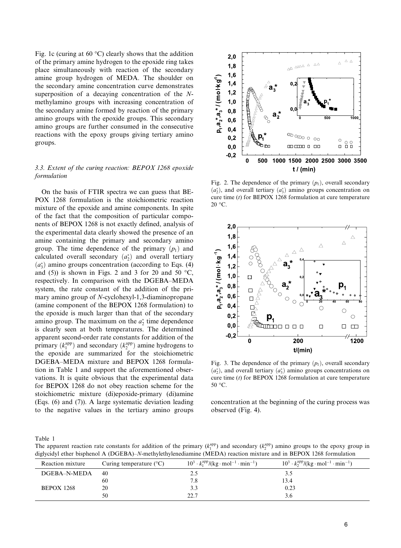Fig. 1c (curing at 60  $^{\circ}$ C) clearly shows that the addition of the primary amine hydrogen to the epoxide ring takes place simultaneously with reaction of the secondary amine group hydrogen of MEDA. The shoulder on the secondary amine concentration curve demonstrates superposition of a decaying concentration of the Nmethylamino groups with increasing concentration of the secondary amine formed by reaction of the primary amino groups with the epoxide groups. This secondary amino groups are further consumed in the consecutive reactions with the epoxy groups giving tertiary amino groups.

# 3.3. Extent of the curing reaction: BEPOX 1268 epoxide formulation

On the basis of FTIR spectra we can guess that BE-POX 1268 formulation is the stoichiometric reaction mixture of the epoxide and amine components. In spite of the fact that the composition of particular components of BEPOX 1268 is not exactly defined, analysis of the experimental data clearly showed the presence of an amine containing the primary and secondary amino group. The time dependence of the primary  $(p_1)$  and calculated overall secondary  $(a_2^*)$  and overall tertiary  $(a_3^*)$  amino groups concentration (according to Eqs. (4) and (5)) is shown in Figs. 2 and 3 for 20 and 50  $^{\circ}C$ , respectively. In comparison with the DGEBA–MEDA system, the rate constant of the addition of the primary amino group of N-cyclohexyl-1,3-diaminopropane (amine component of the BEPOX 1268 formulation) to the epoxide is much larger than that of the secondary amino group. The maximum on the  $a_2^*$  time dependence is clearly seen at both temperatures. The determined apparent second-order rate constants for addition of the primary  $(k_1^{\text{app}})$  and secondary  $(k_2^{\text{app}})$  amine hydrogens to the epoxide are summarized for the stoichiometric DGEBA–MEDA mixture and BEPOX 1268 formulation in Table 1 and support the aforementioned observations. It is quite obvious that the experimental data for BEPOX 1268 do not obey reaction scheme for the stoichiometric mixture (di)epoxide-primary (di)amine (Eqs. (6) and (7)). A large systematic deviation leading to the negative values in the tertiary amino groups



Fig. 2. The dependence of the primary  $(p_1)$ , overall secondary  $(a_2^*)$ , and overall tertiary  $(a_3^*)$  amino groups concentration on cure time  $(t)$  for BEPOX 1268 formulation at cure temperature  $20 °C$ .



Fig. 3. The dependence of the primary  $(p_1)$ , overall secondary  $(a_2^*)$ , and overall tertiary  $(a_3^*)$  amino groups concentrations on cure time  $(t)$  for BEPOX 1268 formulation at cure temperature 50 °C.

concentration at the beginning of the curing process was observed (Fig. 4).

Table 1

The apparent reaction rate constants for addition of the primary  $(k_1^{\text{app}})$  and secondary  $(k_2^{\text{app}})$  amino groups to the epoxy group in diglycidyl ether bisphenol A (DGEBA)–N-methylethylenediamine (MEDA) reaction mixture and in BEPOX 1268 formulation

| - - -             |                                  |                                                                                |                                                                                         |
|-------------------|----------------------------------|--------------------------------------------------------------------------------|-----------------------------------------------------------------------------------------|
| Reaction mixture  | Curing temperature $(^{\circ}C)$ | $10^3 \cdot k_1^{\text{app}}/(kg \cdot \text{mol}^{-1} \cdot \text{min}^{-1})$ | $10^3 \cdot k_2^{\text{app}} / (\text{kg} \cdot \text{mol}^{-1} \cdot \text{min}^{-1})$ |
| DGEBA-N-MEDA      | 40                               |                                                                                |                                                                                         |
|                   | 60                               |                                                                                | 13.4                                                                                    |
| <b>BEPOX 1268</b> | 20                               |                                                                                | 0.23                                                                                    |
|                   | 50                               | วว 7                                                                           | 3.6                                                                                     |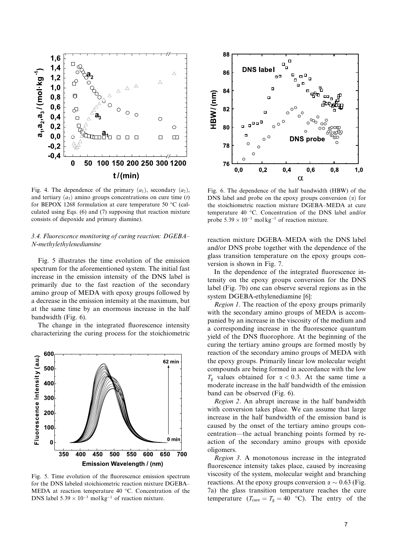

Fig. 4. The dependence of the primary  $(a_1)$ , secondary  $(a_2)$ , and tertiary  $(a_3)$  amino groups concentrations on cure time (t) for BEPOX 1268 formulation at cure temperature 50  $^{\circ}$ C (calculated using Eqs. (6) and (7) supposing that reaction mixture consists of diepoxide and primary diamine).

# 3.4. Fluorescence monitoring of curing reaction: DGEBA– N-methylethylenediamine

Fig. 5 illustrates the time evolution of the emission spectrum for the aforementioned system. The initial fast increase in the emission intensity of the DNS label is primarily due to the fast reaction of the secondary amino group of MEDA with epoxy groups followed by a decrease in the emission intensity at the maximum, but at the same time by an enormous increase in the half bandwidth (Fig. 6).

The change in the integrated fluorescence intensity characterizing the curing process for the stoichiometric



Fig. 5. Time evolution of the fluorescence emission spectrum for the DNS labeled stoichiometric reaction mixture DGEBA– MEDA at reaction temperature 40  $^{\circ}$ C. Concentration of the DNS label  $5.39 \times 10^{-3}$  mol kg<sup>-1</sup> of reaction mixture.



Fig. 6. The dependence of the half bandwidth (HBW) of the DNS label and probe on the epoxy groups conversion  $(\alpha)$  for the stoichiometric reaction mixture DGEBA–MEDA at cure temperature 40 °C. Concentration of the DNS label and/or probe  $5.39 \times 10^{-3}$  mol kg<sup>-1</sup> of reaction mixture.

reaction mixture DGEBA–MEDA with the DNS label and/or DNS probe together with the dependence of the glass transition temperature on the epoxy groups conversion is shown in Fig. 7.

In the dependence of the integrated fluorescence intensity on the epoxy groups conversion for the DNS label (Fig. 7b) one can observe several regions as in the system DGEBA-ethylenediamine [6]:

Region 1. The reaction of the epoxy groups primarily with the secondary amino groups of MEDA is accompanied by an increase in the viscosity of the medium and a corresponding increase in the fluorescence quantum yield of the DNS fluorophore. At the beginning of the curing the tertiary amino groups are formed mostly by reaction of the secondary amino groups of MEDA with the epoxy groups. Primarily linear low molecular weight compounds are being formed in accordance with the low  $T_g$  values obtained for  $\alpha < 0.3$ . At the same time a moderate increase in the half bandwidth of the emission band can be observed (Fig. 6).

Region 2. An abrupt increase in the half bandwidth with conversion takes place. We can assume that large increase in the half bandwidth of the emission band is caused by the onset of the tertiary amino groups concentration––the actual branching points formed by reaction of the secondary amino groups with epoxide oligomers.

Region 3. A monotonous increase in the integrated fluorescence intensity takes place, caused by increasing viscosity of the system, molecular weight and branching reactions. At the epoxy groups conversion  $\alpha \sim 0.63$  (Fig. 7a) the glass transition temperature reaches the cure temperature  $(T_{\text{cure}} = T_{\text{g}} = 40 \text{ °C})$ . The entry of the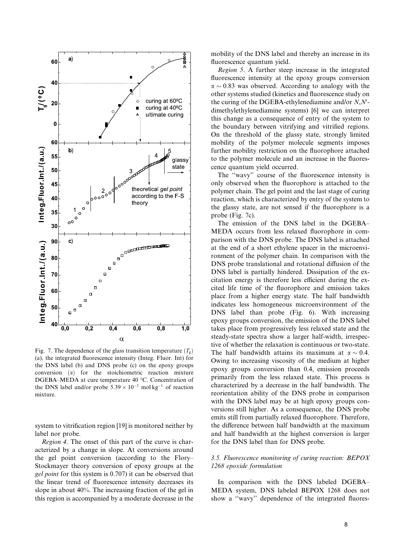

Fig. 7. The dependence of the glass transition temperature  $(T<sub>s</sub>)$ (a), the integrated fluorescence intensity (Integ. Fluor. Int) for the DNS label (b) and DNS probe (c) on the epoxy groups conversion  $(a)$  for the stoichiometric reaction mixture DGEBA–MEDA at cure temperature  $40^{\circ}$ C. Concentration of the DNS label and/or probe  $5.39 \times 10^{-3}$  mol kg<sup>-1</sup> of reaction mixture.

system to vitrification region [19] is monitored neither by label nor probe.

Region 4. The onset of this part of the curve is characterized by a change in slope. At conversions around the gel point conversion (according to the Flory– Stockmayer theory conversion of epoxy groups at the gel point for this system is 0.707) it can be observed that the linear trend of fluorescence intensity decreases its slope in about 40%. The increasing fraction of the gel in this region is accompanied by a moderate decrease in the mobility of the DNS label and thereby an increase in its fluorescence quantum yield.

Region 5. A further steep increase in the integrated fluorescence intensity at the epoxy groups conversion  $\alpha \sim 0.83$  was observed. According to analogy with the other systems studied (kinetics and fluorescence study on the curing of the DGEBA-ethylenediamine and/or  $N, N'$ dimethylethylenediamine systems) [6] we can interpret this change as a consequence of entry of the system to the boundary between vitrifying and vitrified regions. On the threshold of the glassy state, strongly limited mobility of the polymer molecule segments imposes further mobility restriction on the fluorophore attached to the polymer molecule and an increase in the fluorescence quantum yield occurred.

The ''wavy'' course of the fluorescence intensity is only observed when the fluorophore is attached to the polymer chain. The gel point and the last stage of curing reaction, which is characterized by entry of the system to the glassy state, are not sensed if the fluorophore is a probe (Fig. 7c).

The emission of the DNS label in the DGEBA– MEDA occurs from less relaxed fluorophore in comparison with the DNS probe. The DNS label is attached at the end of a short ethylene spacer in the microenvironment of the polymer chain. In comparison with the DNS probe translational and rotational diffusion of the DNS label is partially hindered. Dissipation of the excitation energy is therefore less efficient during the excited life time of the fluorophore and emission takes place from a higher energy state. The half bandwidth indicates less homogeneous microenvironment of the DNS label than probe (Fig. 6). With increasing epoxy groups conversion, the emission of the DNS label takes place from progressively less relaxed state and the steady-state spectra show a larger half-width, irrespective of whether the relaxation is continuous or two-state. The half bandwidth attains its maximum at  $\alpha \sim 0.4$ . Owing to increasing viscosity of the medium at higher epoxy groups conversion than 0.4, emission proceeds primarily from the less relaxed state. This process is characterized by a decrease in the half bandwidth. The reorientation ability of the DNS probe in comparison with the DNS label may be at high epoxy groups conversions still higher. As a consequence, the DNS probe emits still from partially relaxed fluorophore. Therefore, the difference between half bandwidth at the maximum and half bandwidth at the highest conversion is larger for the DNS label than for DNS probe.

# 3.5. Fluorescence monitoring of curing reaction: BEPOX 1268 epoxide formulation

In comparison with the DNS labeled DGEBA– MEDA system, DNS labeled BEPOX 1268 does not show a ''wavy'' dependence of the integrated fluores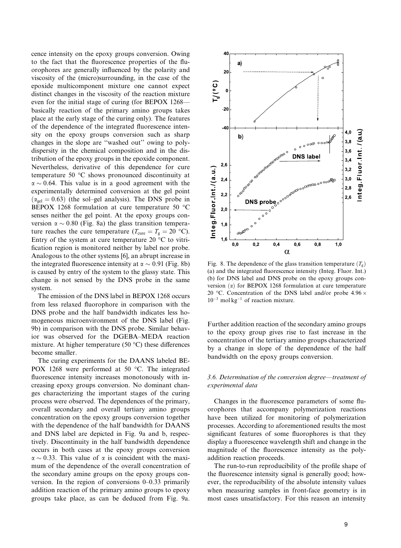cence intensity on the epoxy groups conversion. Owing to the fact that the fluorescence properties of the fluorophores are generally influenced by the polarity and viscosity of the (micro)surrounding, in the case of the epoxide multicomponent mixture one cannot expect distinct changes in the viscosity of the reaction mixture even for the initial stage of curing (for BEPOX 1268–– basically reaction of the primary amino groups takes place at the early stage of the curing only). The features of the dependence of the integrated fluorescence intensity on the epoxy groups conversion such as sharp changes in the slope are ''washed out'' owing to polydispersity in the chemical composition and in the distribution of the epoxy groups in the epoxide component. Nevertheless, derivative of this dependence for cure temperature 50 °C shows pronounced discontinuity at  $\alpha \sim 0.64$ . This value is in a good agreement with the experimentally determined conversion at the gel point  $(\alpha_{gel} = 0.63)$  (the sol–gel analysis). The DNS probe in BEPOX 1268 formulation at cure temperature 50  $\degree$ C senses neither the gel point. At the epoxy groups conversion  $\alpha \sim 0.80$  (Fig. 8a) the glass transition temperature reaches the cure temperature ( $T_{\text{cure}} = T_{\text{g}} = 20 \text{ °C}$ ). Entry of the system at cure temperature 20  $\mathrm{^{\circ}C}$  to vitrification region is monitored neither by label nor probe. Analogous to the other systems [6], an abrupt increase in the integrated fluorescence intensity at  $\alpha \sim 0.91$  (Fig. 8b) is caused by entry of the system to the glassy state. This change is not sensed by the DNS probe in the same system.

The emission of the DNS label in BEPOX 1268 occurs from less relaxed fluorophore in comparison with the DNS probe and the half bandwidth indicates less homogeneous microenvironment of the DNS label (Fig. 9b) in comparison with the DNS probe. Similar behavior was observed for the DGEBA–MEDA reaction mixture. At higher temperature (50  $^{\circ}$ C) these differences become smaller.

The curing experiments for the DAANS labeled BE-POX 1268 were performed at 50  $^{\circ}$ C. The integrated fluorescence intensity increases monotonously with increasing epoxy groups conversion. No dominant changes characterizing the important stages of the curing process were observed. The dependences of the primary, overall secondary and overall tertiary amino groups concentration on the epoxy groups conversion together with the dependence of the half bandwidth for DAANS and DNS label are depicted in Fig. 9a and b, respectively. Discontinuity in the half bandwidth dependence occurs in both cases at the epoxy groups conversion  $\alpha \sim 0.33$ . This value of  $\alpha$  is coincident with the maximum of the dependence of the overall concentration of the secondary amine groups on the epoxy groups conversion. In the region of conversions 0–0.33 primarily addition reaction of the primary amino groups to epoxy groups take place, as can be deduced from Fig. 9a.



Fig. 8. The dependence of the glass transition temperature  $(T<sub>o</sub>)$ (a) and the integrated fluorescence intensity (Integ. Fluor. Int.) (b) for DNS label and DNS probe on the epoxy groups conversion  $(\alpha)$  for BEPOX 1268 formulation at cure temperature 20 °C. Concentration of the DNS label and/or probe  $4.96 \times$  $10^{-3}$  mol kg<sup>-1</sup> of reaction mixture.

Further addition reaction of the secondary amino groups to the epoxy group gives rise to fast increase in the concentration of the tertiary amino groups characterized by a change in slope of the dependence of the half bandwidth on the epoxy groups conversion.

# 3.6. Determination of the conversion degree––treatment of experimental data

Changes in the fluorescence parameters of some fluorophores that accompany polymerization reactions have been utilized for monitoring of polymerization processes. According to aforementioned results the most significant features of some fluorophores is that they display a fluorescence wavelength shift and change in the magnitude of the fluorescence intensity as the polyaddition reaction proceeds.

The run-to-run reproducibility of the profile shape of the fluorescence intensity signal is generally good; however, the reproducibility of the absolute intensity values when measuring samples in front-face geometry is in most cases unsatisfactory. For this reason an intensity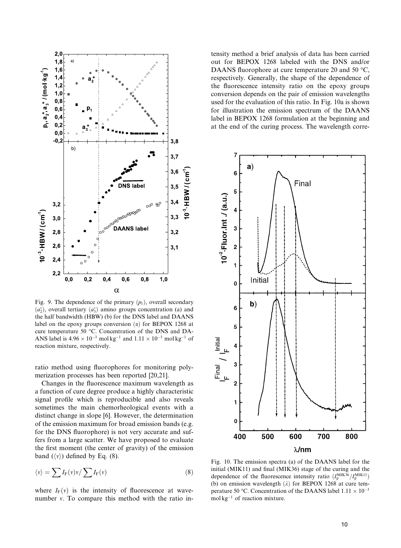

Fig. 9. The dependence of the primary  $(p_1)$ , overall secondary  $(a_2^*)$ , overall tertiary  $(a_3^*)$  amino groups concentration (a) and the half bandwidth (HBW) (b) for the DNS label and DAANS label on the epoxy groups conversion  $(\alpha)$  for BEPOX 1268 at cure temperature 50 °C. Concentration of the DNS and DA-ANS label is  $4.96 \times 10^{-3}$  mol kg<sup>-1</sup> and  $1.11 \times 10^{-3}$  mol kg<sup>-1</sup> of reaction mixture, respectively.

ratio method using fluorophores for monitoring polymerization processes has been reported [20,21].

Changes in the fluorescence maximum wavelength as a function of cure degree produce a highly characteristic signal profile which is reproducible and also reveals sometimes the main chemorheological events with a distinct change in slope [6]. However, the determination of the emission maximum for broad emission bands (e.g. for the DNS fluorophore) is not very accurate and suffers from a large scatter. We have proposed to evaluate the first moment (the center of gravity) of the emission band  $(\langle v \rangle)$  defined by Eq. (8).

$$
\langle v \rangle = \sum I_{\rm F}(v) v / \sum I_{\rm F}(v) \tag{8}
$$

where  $I_F(v)$  is the intensity of fluorescence at wavenumber  $v$ . To compare this method with the ratio intensity method a brief analysis of data has been carried out for BEPOX 1268 labeled with the DNS and/or DAANS fluorophore at cure temperature 20 and 50  $\degree$ C, respectively. Generally, the shape of the dependence of the fluorescence intensity ratio on the epoxy groups conversion depends on the pair of emission wavelengths used for the evaluation of this ratio. In Fig. 10a is shown for illustration the emission spectrum of the DAANS label in BEPOX 1268 formulation at the beginning and at the end of the curing process. The wavelength corre-



Fig. 10. The emission spectra (a) of the DAANS label for the initial (MIK11) and final (MIK36) stage of the curing and the dependence of the fluorescence intensity ratio  $(I_{\rm F}^{\rm MIK36}/I_{\rm F}^{\rm MIK11})$ (b) on emission wavelength  $(\lambda)$  for BEPOX 1268 at cure temperature 50 °C. Concentration of the DAANS label  $1.11 \times 10^{-3}$  $mol \text{kg}^{-1}$  of reaction mixture.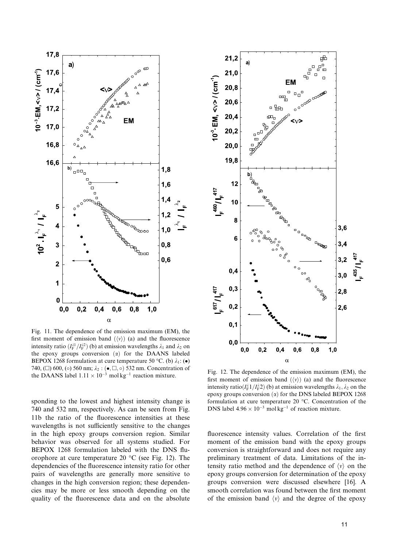

Fig. 11. The dependence of the emission maximum (EM), the first moment of emission band  $(\langle v \rangle)$  (a) and the fluorescence intensity ratio ( $I_F^{\lambda 1}/I_F^{\lambda 2}$ ) (b) at emission wavelengths  $\lambda_1$  and  $\lambda_2$  on the epoxy groups conversion  $(\alpha)$  for the DAANS labeled BEPOX 1268 formulation at cure temperature 50 °C. (b)  $\lambda_1$ : ( $\bullet$ ) 740, ( $\square$ ) 600, ( $\circ$ ) 560 nm;  $\lambda_2$ : ( $\bullet$ ,  $\square$ ,  $\circ$ ) 532 nm. Concentration of <sup>140</sup>, ( $\Box$ ) 000, ( $\Box$ ) 000 nm,  $\lambda_2$ . ( $\bullet$ ,  $\Box$ ,  $\odot$ ) 352 nm. Concentration of Fig. 12. The dependence of the emission maximum (EM), the the DAANS label 1.11  $\times$  10<sup>-3</sup> mol kg<sup>-1</sup> reaction mixture.

sponding to the lowest and highest intensity change is 740 and 532 nm, respectively. As can be seen from Fig. 11b the ratio of the fluorescence intensities at these wavelengths is not sufficiently sensitive to the changes in the high epoxy groups conversion region. Similar behavior was observed for all systems studied. For BEPOX 1268 formulation labeled with the DNS fluorophore at cure temperature 20  $^{\circ}$ C (see Fig. 12). The dependencies of the fluorescence intensity ratio for other pairs of wavelengths are generally more sensitive to changes in the high conversion region; these dependencies may be more or less smooth depending on the quality of the fluorescence data and on the absolute



first moment of emission band  $(\langle v \rangle)$  (a) and the fluorescence intensity ratio( $I_F^{\lambda_1}/I_F^{\lambda_2}$ ) (b) at emission wavelengths  $\lambda_1, \lambda_2$  on the epoxy groups conversion  $(\alpha)$  for the DNS labeled BEPOX 1268 formulation at cure temperature 20  $^{\circ}$ C. Concentration of the DNS label  $4.96 \times 10^{-3}$  mol kg<sup>-1</sup> of reaction mixture.

fluorescence intensity values. Correlation of the first moment of the emission band with the epoxy groups conversion is straightforward and does not require any preliminary treatment of data. Limitations of the intensity ratio method and the dependence of  $\langle v \rangle$  on the epoxy groups conversion for determination of the epoxy groups conversion were discussed elsewhere [16]. A smooth correlation was found between the first moment of the emission band  $\langle v \rangle$  and the degree of the epoxy